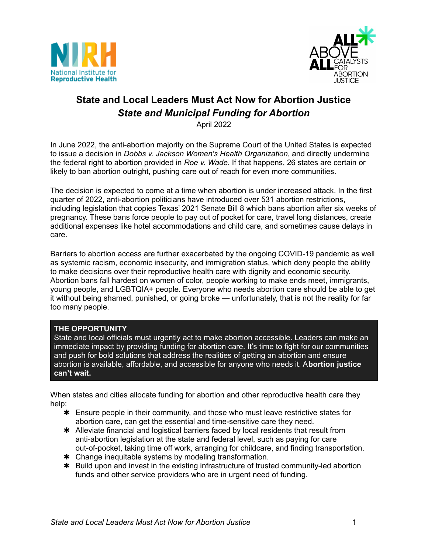



# **State and Local Leaders Must Act Now for Abortion Justice** *State and Municipal Funding for Abortion*

April 2022

In June 2022, the anti-abortion majority on the Supreme Court of the United States is expected to issue a decision in *Dobbs v. Jackson Women's Health Organization*, and directly undermine the federal right to abortion provided in *Roe v. Wade*. If that happens, 26 states are certain or likely to ban abortion outright, pushing care out of reach for even more communities.

The decision is expected to come at a time when abortion is under increased attack. In the first quarter of 2022, anti-abortion politicians have introduced over 531 abortion restrictions, including legislation that copies Texas' 2021 Senate Bill 8 which bans abortion after six weeks of pregnancy. These bans force people to pay out of pocket for care, travel long distances, create additional expenses like hotel accommodations and child care, and sometimes cause delays in care.

Barriers to abortion access are further exacerbated by the ongoing COVID-19 pandemic as well as systemic racism, economic insecurity, and immigration status, which deny people the ability to make decisions over their reproductive health care with dignity and economic security. Abortion bans fall hardest on women of color, people working to make ends meet, immigrants, young people, and LGBTQIA+ people. Everyone who needs abortion care should be able to get it without being shamed, punished, or going broke — unfortunately, that is not the reality for far too many people.

## **THE OPPORTUNITY**

State and local officials must urgently act to make abortion accessible. Leaders can make an immediate impact by providing funding for abortion care. It's time to fight for our communities and push for bold solutions that address the realities of getting an abortion and ensure abortion is available, affordable, and accessible for anyone who needs it. A**bortion justice can't wait.**

When states and cities allocate funding for abortion and other reproductive health care they help:

- ✱ Ensure people in their community, and those who must leave restrictive states for abortion care, can get the essential and time-sensitive care they need.
- ✱ Alleviate financial and logistical barriers faced by local residents that result from anti-abortion legislation at the state and federal level, such as paying for care out-of-pocket, taking time off work, arranging for childcare, and finding transportation.
- ✱ Change inequitable systems by modeling transformation.
- ✱ Build upon and invest in the existing infrastructure of trusted community-led abortion funds and other service providers who are in urgent need of funding.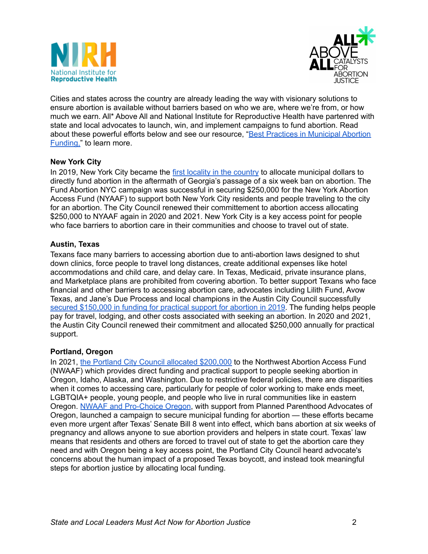



Cities and states across the country are already leading the way with visionary solutions to ensure abortion is available without barriers based on who we are, where we're from, or how much we earn. All\* Above All and National Institute for Reproductive Health have partenred with state and local advocates to launch, win, and implement campaigns to fund abortion. Read about these powerful efforts below and see our resource, "Best Practices in [Municipal](https://www.nirhealth.org/wp-content/uploads/2021/10/Best-Practices-in-Municipal-Abortion-Funding_NIRH-All-Above-All.pdf) Abortion [Funding,"](https://www.nirhealth.org/wp-content/uploads/2021/10/Best-Practices-in-Municipal-Abortion-Funding_NIRH-All-Above-All.pdf) to learn more.

#### **New York City**

In 2019, New York City became the first locality in the [country](https://www.nytimes.com/2019/06/14/nyregion/abortion-funding-ny.html) to allocate municipal dollars to directly fund abortion in the aftermath of Georgia's passage of a six week ban on abortion. The Fund Abortion NYC campaign was successful in securing \$250,000 for the New York Abortion Access Fund (NYAAF) to support both New York City residents and people traveling to the city for an abortion. The City Council renewed their committement to abortion access allocating \$250,000 to NYAAF again in 2020 and 2021. New York City is a key access point for people who face barriers to abortion care in their communities and choose to travel out of state.

#### **Austin, Texas**

Texans face many barriers to accessing abortion due to anti-abortion laws designed to shut down clinics, force people to travel long distances, create additional expenses like hotel accommodations and child care, and delay care. In Texas, Medicaid, private insurance plans, and Marketplace plans are prohibited from covering abortion. To better support Texans who face financial and other barriers to accessing abortion care, advocates including Lilith Fund, Avow Texas, and Jane's Due Process and local champions in the Austin City Council successfully secured [\\$150,000](https://www.npr.org/sections/health-shots/2019/09/17/761342576/as-texas-cracks-down-on-abortion-austin-votes-to-help-women-defray-costs) in funding for practical support for abortion in 2019. The funding helps people pay for travel, lodging, and other costs associated with seeking an abortion. In 2020 and 2021, the Austin City Council renewed their commitment and allocated \$250,000 annually for practical support.

#### **Portland, Oregon**

In 2021, the Portland City Council allocated [\\$200,000](https://www.kgw.com/article/news/local/portland-donation-abortion-fund/283-a7ee30cb-bcd1-4eaf-b15e-c85966e8959a) to the Northwest Abortion Access Fund (NWAAF) which provides direct funding and practical support to people seeking abortion in Oregon, Idaho, Alaska, and Washington. Due to restrictive federal policies, there are disparities when it comes to accessing care, particularly for people of color working to make ends meet, LGBTQIA+ people, young people, and people who live in rural communities like in eastern Oregon. NWAAF and [Pro-Choice](https://www.prochoiceoregon.org/post/portland-city-commissioners-allocate-200-000-to-fund-abortion-care) Oregon, with support from Planned Parenthood Advocates of Oregon, launched a campaign to secure municipal funding for abortion — these efforts became even more urgent after Texas' Senate Bill 8 went into effect, which bans abortion at six weeks of pregnancy and allows anyone to sue abortion providers and helpers in state court. Texas' law means that residents and others are forced to travel out of state to get the abortion care they need and with Oregon being a key access point, the Portland City Council heard advocate's concerns about the human impact of a proposed Texas boycott, and instead took meaningful steps for abortion justice by allocating local funding.